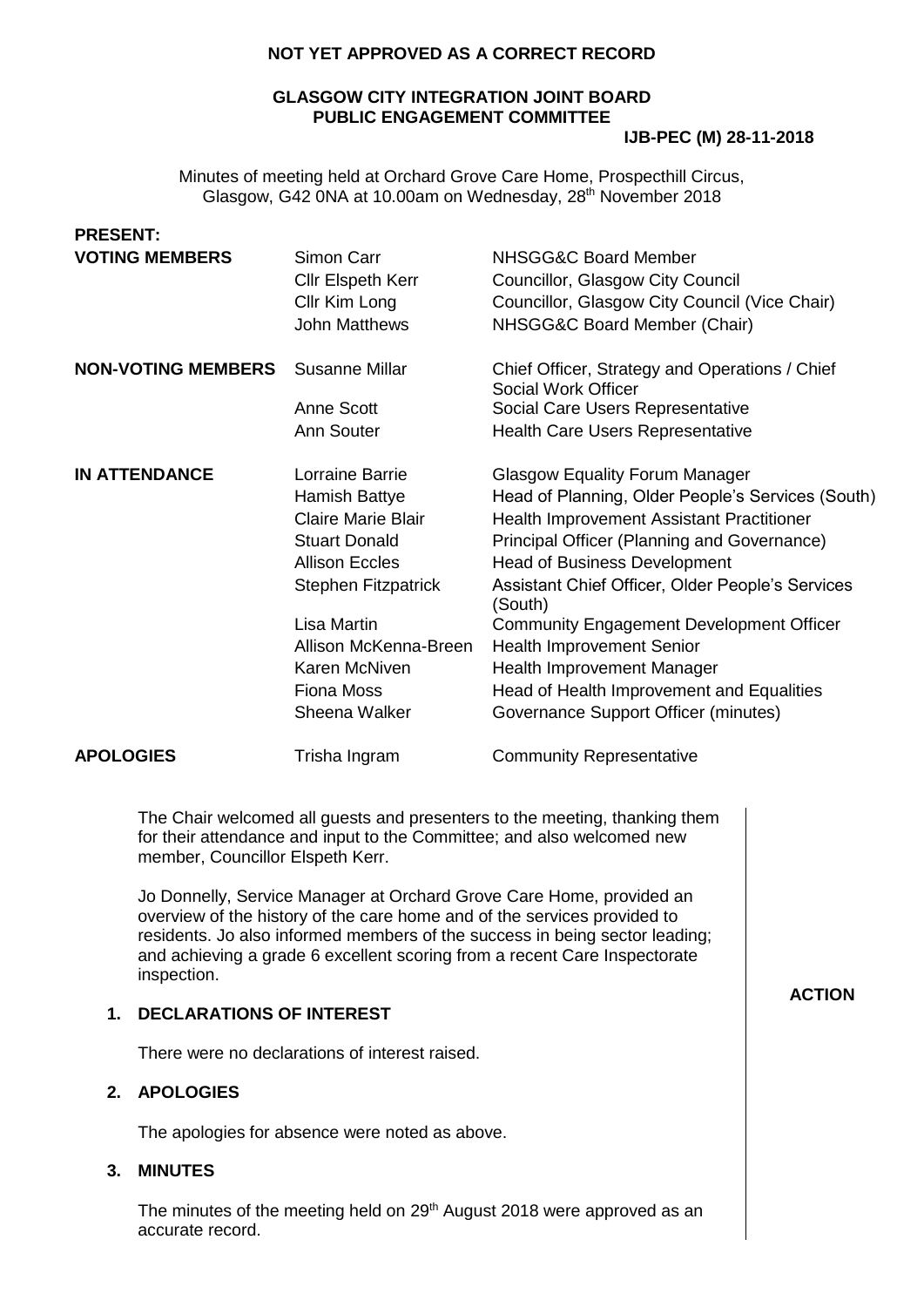# **NOT YET APPROVED AS A CORRECT RECORD**

# **GLASGOW CITY INTEGRATION JOINT BOARD PUBLIC ENGAGEMENT COMMITTEE**

### **IJB-PEC (M) 28-11-2018**

Minutes of meeting held at Orchard Grove Care Home, Prospecthill Circus, Glasgow, G42 0NA at 10.00am on Wednesday, 28<sup>th</sup> November 2018

| <b>PRESENT:</b>                                                                                                                            |                                                                                                                                                                                                                                                    |                                                                                                                                                                                                                                                                                                                                                                                                                                                                                                               |               |
|--------------------------------------------------------------------------------------------------------------------------------------------|----------------------------------------------------------------------------------------------------------------------------------------------------------------------------------------------------------------------------------------------------|---------------------------------------------------------------------------------------------------------------------------------------------------------------------------------------------------------------------------------------------------------------------------------------------------------------------------------------------------------------------------------------------------------------------------------------------------------------------------------------------------------------|---------------|
| <b>VOTING MEMBERS</b>                                                                                                                      | Simon Carr<br><b>Cllr Elspeth Kerr</b><br>Cllr Kim Long<br><b>John Matthews</b>                                                                                                                                                                    | NHSGG&C Board Member<br>Councillor, Glasgow City Council<br>Councillor, Glasgow City Council (Vice Chair)<br>NHSGG&C Board Member (Chair)                                                                                                                                                                                                                                                                                                                                                                     |               |
| <b>NON-VOTING MEMBERS</b>                                                                                                                  | <b>Susanne Millar</b>                                                                                                                                                                                                                              | Chief Officer, Strategy and Operations / Chief<br>Social Work Officer                                                                                                                                                                                                                                                                                                                                                                                                                                         |               |
|                                                                                                                                            | Anne Scott<br>Ann Souter                                                                                                                                                                                                                           | Social Care Users Representative<br><b>Health Care Users Representative</b>                                                                                                                                                                                                                                                                                                                                                                                                                                   |               |
| <b>IN ATTENDANCE</b>                                                                                                                       | Lorraine Barrie<br>Hamish Battye<br><b>Claire Marie Blair</b><br><b>Stuart Donald</b><br><b>Allison Eccles</b><br><b>Stephen Fitzpatrick</b><br><b>Lisa Martin</b><br>Allison McKenna-Breen<br>Karen McNiven<br><b>Fiona Moss</b><br>Sheena Walker | <b>Glasgow Equality Forum Manager</b><br>Head of Planning, Older People's Services (South)<br>Health Improvement Assistant Practitioner<br>Principal Officer (Planning and Governance)<br><b>Head of Business Development</b><br>Assistant Chief Officer, Older People's Services<br>(South)<br><b>Community Engagement Development Officer</b><br><b>Health Improvement Senior</b><br><b>Health Improvement Manager</b><br>Head of Health Improvement and Equalities<br>Governance Support Officer (minutes) |               |
| <b>APOLOGIES</b>                                                                                                                           | Trisha Ingram                                                                                                                                                                                                                                      | <b>Community Representative</b>                                                                                                                                                                                                                                                                                                                                                                                                                                                                               |               |
| member, Councillor Elspeth Kerr.<br>inspection.<br><b>DECLARATIONS OF INTEREST</b><br>1.<br><b>APOLOGIES</b><br>2.<br><b>MINUTES</b><br>3. | overview of the history of the care home and of the services provided to<br>There were no declarations of interest raised.<br>The apologies for absence were noted as above.                                                                       | The Chair welcomed all guests and presenters to the meeting, thanking them<br>for their attendance and input to the Committee; and also welcomed new<br>Jo Donnelly, Service Manager at Orchard Grove Care Home, provided an<br>residents. Jo also informed members of the success in being sector leading;<br>and achieving a grade 6 excellent scoring from a recent Care Inspectorate<br>The minutes of the meeting held on 29 <sup>th</sup> August 2018 were approved as an                               | <b>ACTION</b> |
| accurate record.                                                                                                                           |                                                                                                                                                                                                                                                    |                                                                                                                                                                                                                                                                                                                                                                                                                                                                                                               |               |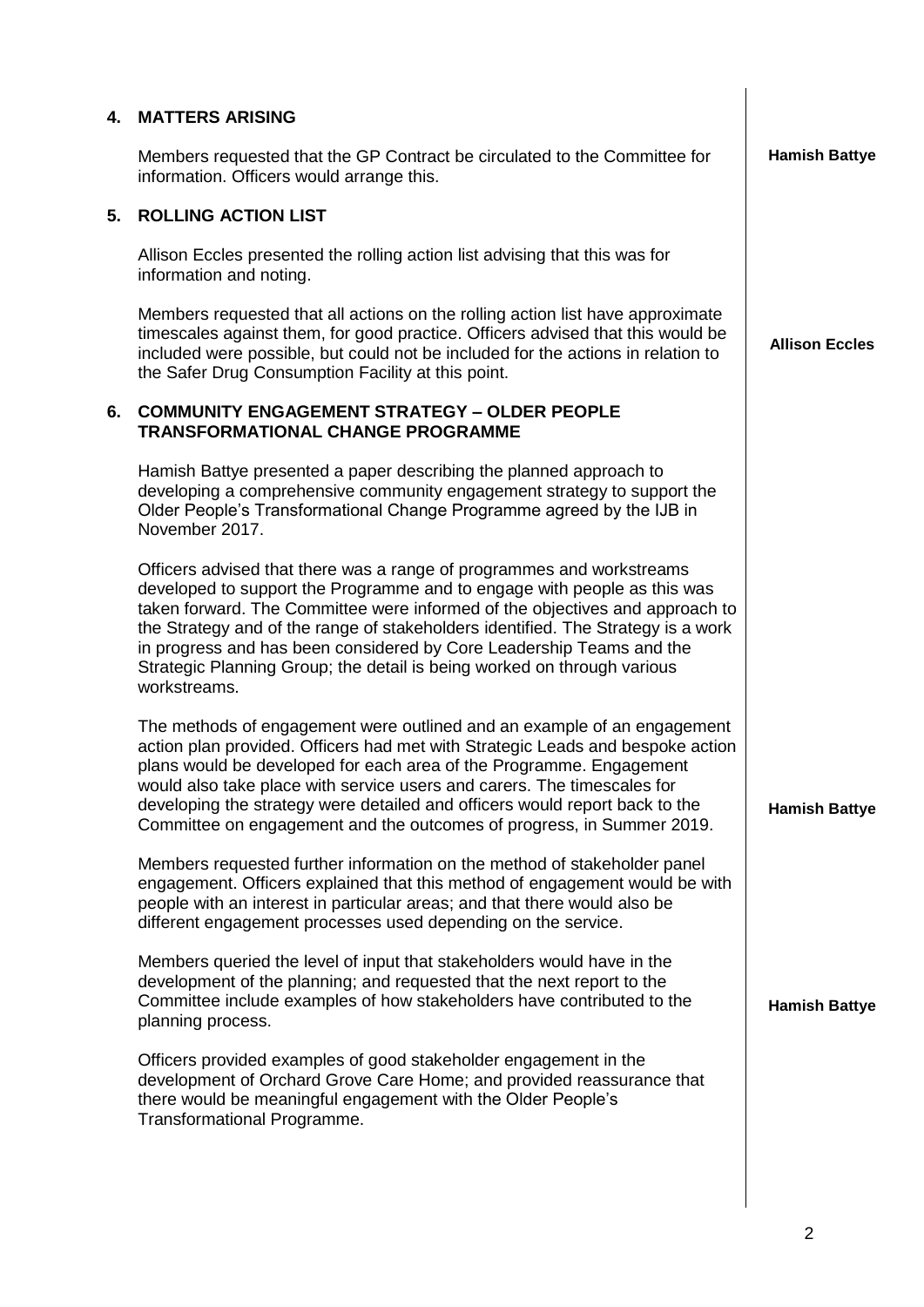|    | <b>4. MATTERS ARISING</b>                                                                                                                                                                                                                                                                                                                                                                                                                                                                |                       |
|----|------------------------------------------------------------------------------------------------------------------------------------------------------------------------------------------------------------------------------------------------------------------------------------------------------------------------------------------------------------------------------------------------------------------------------------------------------------------------------------------|-----------------------|
|    | Members requested that the GP Contract be circulated to the Committee for<br>information. Officers would arrange this.                                                                                                                                                                                                                                                                                                                                                                   | <b>Hamish Battye</b>  |
| 5. | <b>ROLLING ACTION LIST</b>                                                                                                                                                                                                                                                                                                                                                                                                                                                               |                       |
|    | Allison Eccles presented the rolling action list advising that this was for<br>information and noting.                                                                                                                                                                                                                                                                                                                                                                                   |                       |
|    | Members requested that all actions on the rolling action list have approximate<br>timescales against them, for good practice. Officers advised that this would be<br>included were possible, but could not be included for the actions in relation to<br>the Safer Drug Consumption Facility at this point.                                                                                                                                                                              | <b>Allison Eccles</b> |
| 6. | <b>COMMUNITY ENGAGEMENT STRATEGY - OLDER PEOPLE</b><br><b>TRANSFORMATIONAL CHANGE PROGRAMME</b>                                                                                                                                                                                                                                                                                                                                                                                          |                       |
|    | Hamish Battye presented a paper describing the planned approach to<br>developing a comprehensive community engagement strategy to support the<br>Older People's Transformational Change Programme agreed by the IJB in<br>November 2017.                                                                                                                                                                                                                                                 |                       |
|    | Officers advised that there was a range of programmes and workstreams<br>developed to support the Programme and to engage with people as this was<br>taken forward. The Committee were informed of the objectives and approach to<br>the Strategy and of the range of stakeholders identified. The Strategy is a work<br>in progress and has been considered by Core Leadership Teams and the<br>Strategic Planning Group; the detail is being worked on through various<br>workstreams. |                       |
|    | The methods of engagement were outlined and an example of an engagement<br>action plan provided. Officers had met with Strategic Leads and bespoke action<br>plans would be developed for each area of the Programme. Engagement<br>would also take place with service users and carers. The timescales for<br>developing the strategy were detailed and officers would report back to the<br>Committee on engagement and the outcomes of progress, in Summer 2019.                      | <b>Hamish Battye</b>  |
|    | Members requested further information on the method of stakeholder panel<br>engagement. Officers explained that this method of engagement would be with<br>people with an interest in particular areas; and that there would also be<br>different engagement processes used depending on the service.                                                                                                                                                                                    |                       |
|    | Members queried the level of input that stakeholders would have in the<br>development of the planning; and requested that the next report to the<br>Committee include examples of how stakeholders have contributed to the<br>planning process.                                                                                                                                                                                                                                          | <b>Hamish Battye</b>  |
|    | Officers provided examples of good stakeholder engagement in the<br>development of Orchard Grove Care Home; and provided reassurance that<br>there would be meaningful engagement with the Older People's<br>Transformational Programme.                                                                                                                                                                                                                                                 |                       |
|    |                                                                                                                                                                                                                                                                                                                                                                                                                                                                                          |                       |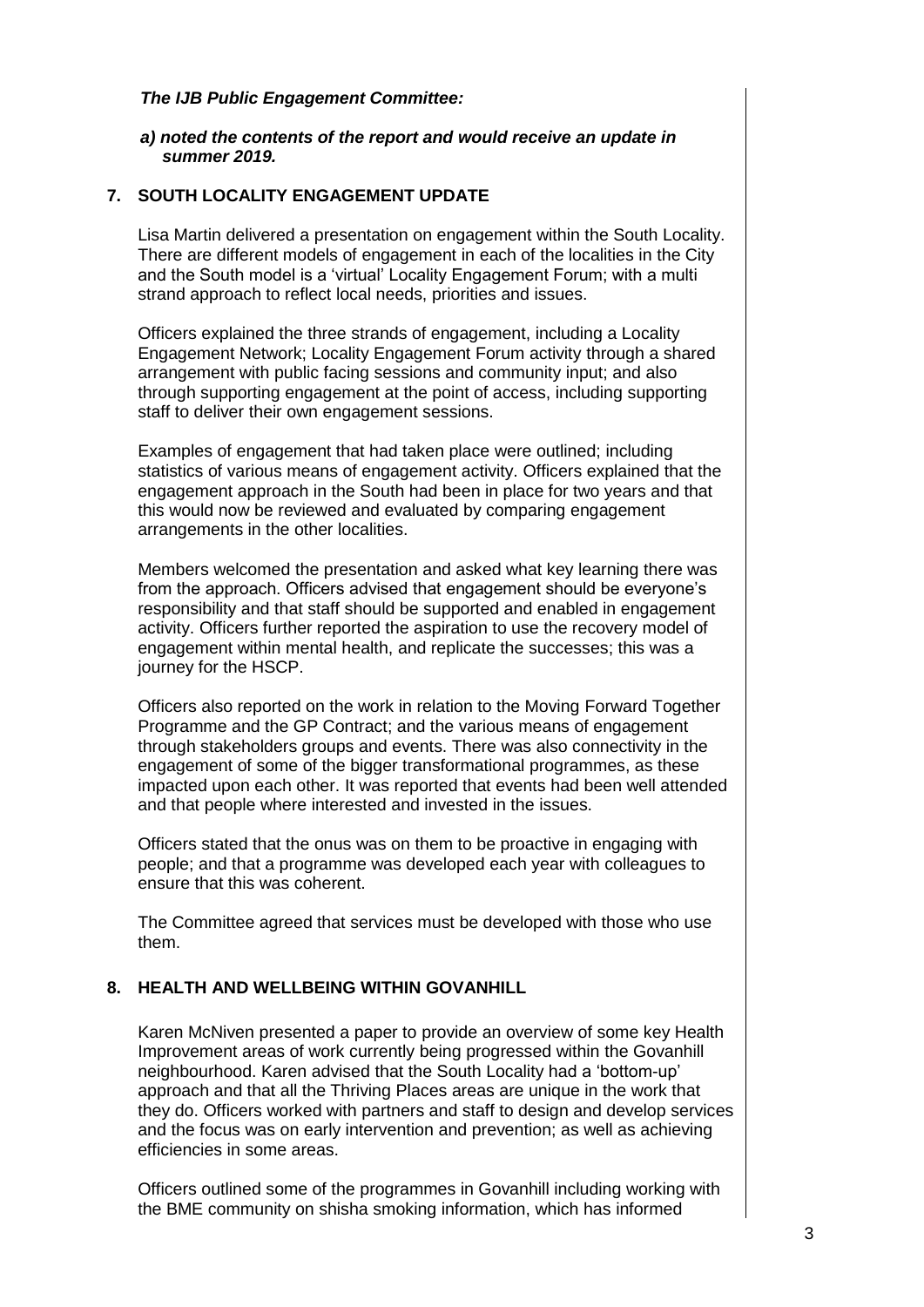### *The IJB Public Engagement Committee:*

#### *a) noted the contents of the report and would receive an update in summer 2019.*

# **7. SOUTH LOCALITY ENGAGEMENT UPDATE**

Lisa Martin delivered a presentation on engagement within the South Locality. There are different models of engagement in each of the localities in the City and the South model is a 'virtual' Locality Engagement Forum; with a multi strand approach to reflect local needs, priorities and issues.

Officers explained the three strands of engagement, including a Locality Engagement Network; Locality Engagement Forum activity through a shared arrangement with public facing sessions and community input; and also through supporting engagement at the point of access, including supporting staff to deliver their own engagement sessions.

Examples of engagement that had taken place were outlined; including statistics of various means of engagement activity. Officers explained that the engagement approach in the South had been in place for two years and that this would now be reviewed and evaluated by comparing engagement arrangements in the other localities.

Members welcomed the presentation and asked what key learning there was from the approach. Officers advised that engagement should be everyone's responsibility and that staff should be supported and enabled in engagement activity. Officers further reported the aspiration to use the recovery model of engagement within mental health, and replicate the successes; this was a journey for the HSCP.

Officers also reported on the work in relation to the Moving Forward Together Programme and the GP Contract; and the various means of engagement through stakeholders groups and events. There was also connectivity in the engagement of some of the bigger transformational programmes, as these impacted upon each other. It was reported that events had been well attended and that people where interested and invested in the issues.

Officers stated that the onus was on them to be proactive in engaging with people; and that a programme was developed each year with colleagues to ensure that this was coherent.

The Committee agreed that services must be developed with those who use them.

# **8. HEALTH AND WELLBEING WITHIN GOVANHILL**

Karen McNiven presented a paper to provide an overview of some key Health Improvement areas of work currently being progressed within the Govanhill neighbourhood. Karen advised that the South Locality had a 'bottom-up' approach and that all the Thriving Places areas are unique in the work that they do. Officers worked with partners and staff to design and develop services and the focus was on early intervention and prevention; as well as achieving efficiencies in some areas.

Officers outlined some of the programmes in Govanhill including working with the BME community on shisha smoking information, which has informed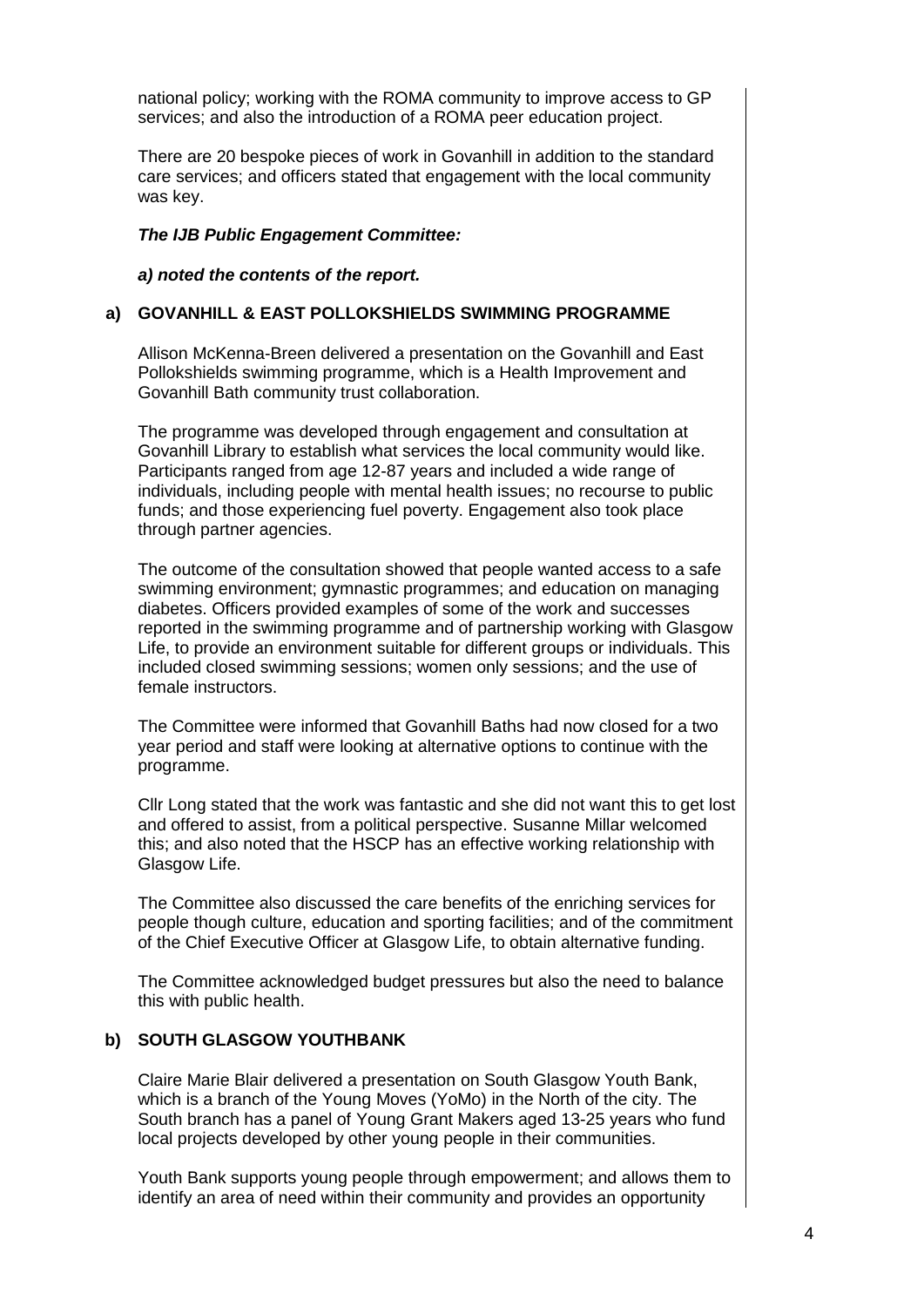national policy; working with the ROMA community to improve access to GP services; and also the introduction of a ROMA peer education project.

There are 20 bespoke pieces of work in Govanhill in addition to the standard care services; and officers stated that engagement with the local community was key.

### *The IJB Public Engagement Committee:*

*a) noted the contents of the report.*

#### **a) GOVANHILL & EAST POLLOKSHIELDS SWIMMING PROGRAMME**

Allison McKenna-Breen delivered a presentation on the Govanhill and East Pollokshields swimming programme, which is a Health Improvement and Govanhill Bath community trust collaboration.

The programme was developed through engagement and consultation at Govanhill Library to establish what services the local community would like. Participants ranged from age 12-87 years and included a wide range of individuals, including people with mental health issues; no recourse to public funds; and those experiencing fuel poverty. Engagement also took place through partner agencies.

The outcome of the consultation showed that people wanted access to a safe swimming environment; gymnastic programmes; and education on managing diabetes. Officers provided examples of some of the work and successes reported in the swimming programme and of partnership working with Glasgow Life, to provide an environment suitable for different groups or individuals. This included closed swimming sessions; women only sessions; and the use of female instructors.

The Committee were informed that Govanhill Baths had now closed for a two year period and staff were looking at alternative options to continue with the programme.

Cllr Long stated that the work was fantastic and she did not want this to get lost and offered to assist, from a political perspective. Susanne Millar welcomed this; and also noted that the HSCP has an effective working relationship with Glasgow Life.

The Committee also discussed the care benefits of the enriching services for people though culture, education and sporting facilities; and of the commitment of the Chief Executive Officer at Glasgow Life, to obtain alternative funding.

The Committee acknowledged budget pressures but also the need to balance this with public health.

#### **b) SOUTH GLASGOW YOUTHBANK**

Claire Marie Blair delivered a presentation on South Glasgow Youth Bank, which is a branch of the Young Moves (YoMo) in the North of the city. The South branch has a panel of Young Grant Makers aged 13-25 years who fund local projects developed by other young people in their communities.

Youth Bank supports young people through empowerment; and allows them to identify an area of need within their community and provides an opportunity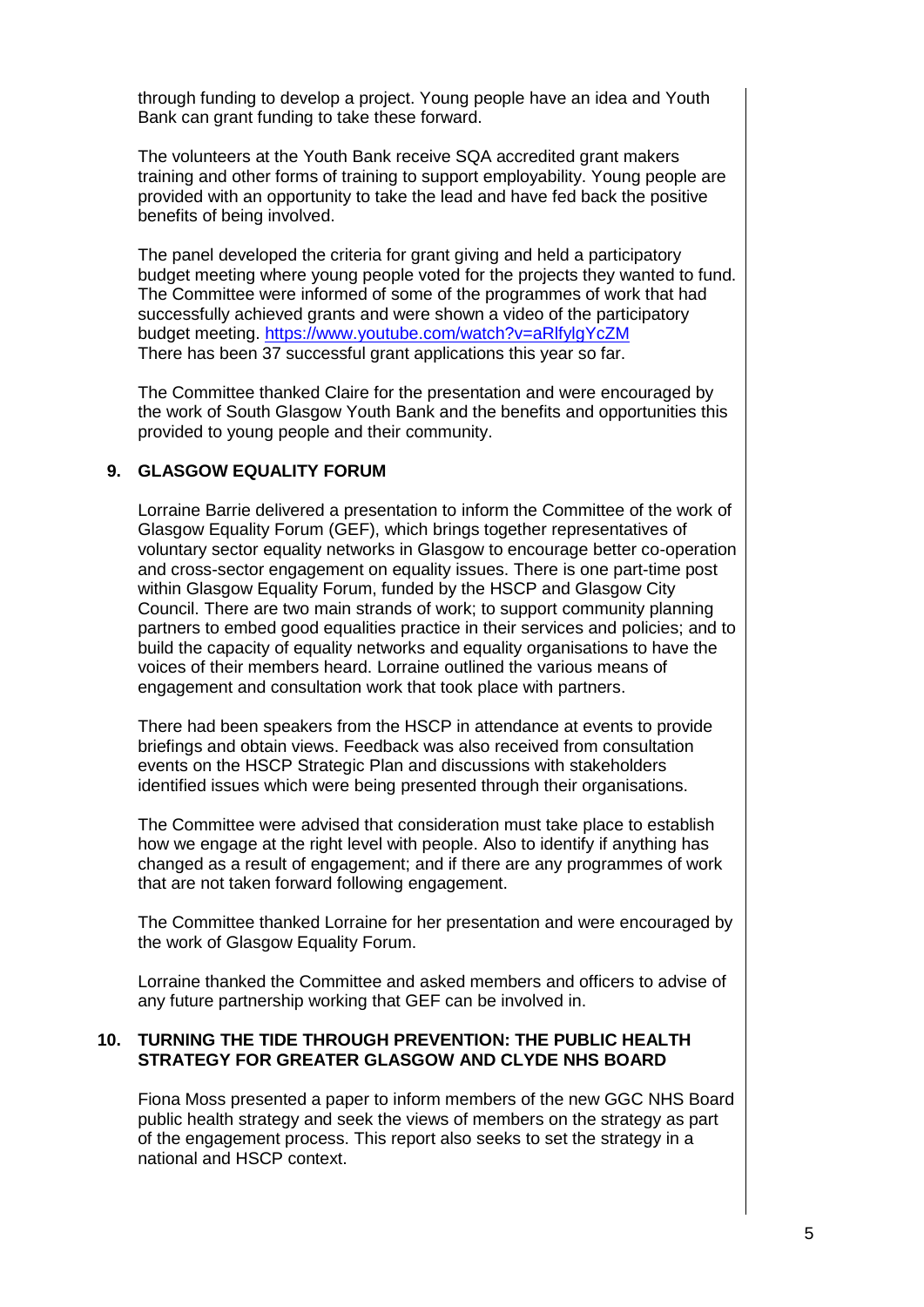through funding to develop a project. Young people have an idea and Youth Bank can grant funding to take these forward.

The volunteers at the Youth Bank receive SQA accredited grant makers training and other forms of training to support employability. Young people are provided with an opportunity to take the lead and have fed back the positive benefits of being involved.

The panel developed the criteria for grant giving and held a participatory budget meeting where young people voted for the projects they wanted to fund. The Committee were informed of some of the programmes of work that had successfully achieved grants and were shown a video of the participatory budget meeting.<https://www.youtube.com/watch?v=aRlfylgYcZM> There has been 37 successful grant applications this year so far.

The Committee thanked Claire for the presentation and were encouraged by the work of South Glasgow Youth Bank and the benefits and opportunities this provided to young people and their community.

### **9. GLASGOW EQUALITY FORUM**

Lorraine Barrie delivered a presentation to inform the Committee of the work of Glasgow Equality Forum (GEF), which brings together representatives of voluntary sector equality networks in Glasgow to encourage better co-operation and cross-sector engagement on equality issues. There is one part-time post within Glasgow Equality Forum, funded by the HSCP and Glasgow City Council. There are two main strands of work; to support community planning partners to embed good equalities practice in their services and policies; and to build the capacity of equality networks and equality organisations to have the voices of their members heard. Lorraine outlined the various means of engagement and consultation work that took place with partners.

There had been speakers from the HSCP in attendance at events to provide briefings and obtain views. Feedback was also received from consultation events on the HSCP Strategic Plan and discussions with stakeholders identified issues which were being presented through their organisations.

The Committee were advised that consideration must take place to establish how we engage at the right level with people. Also to identify if anything has changed as a result of engagement; and if there are any programmes of work that are not taken forward following engagement.

The Committee thanked Lorraine for her presentation and were encouraged by the work of Glasgow Equality Forum.

Lorraine thanked the Committee and asked members and officers to advise of any future partnership working that GEF can be involved in.

#### **10. TURNING THE TIDE THROUGH PREVENTION: THE PUBLIC HEALTH STRATEGY FOR GREATER GLASGOW AND CLYDE NHS BOARD**

Fiona Moss presented a paper to inform members of the new GGC NHS Board public health strategy and seek the views of members on the strategy as part of the engagement process. This report also seeks to set the strategy in a national and HSCP context.